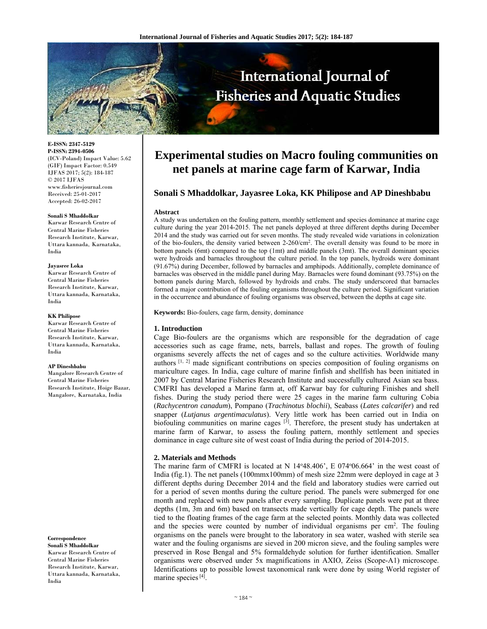

**E-ISSN: 2347-5129 P-ISSN: 2394-0506**  (ICV-Poland) Impact Value: 5.62 (GIF) Impact Factor: 0.549 IJFAS 2017; 5(2): 184-187  $\odot$  2017 IJFAS www.fisheriesjournal.com Received: 25-01-2017 Accepted: 26-02-2017

#### **Sonali S Mhaddolkar**

Karwar Research Centre of Central Marine Fisheries Research Institute, Karwar, Uttara kannada, Karnataka, India

#### **Jayasree Loka**

Karwar Research Centre of Central Marine Fisheries Research Institute, Karwar, Uttara kannada, Karnataka, India

#### **KK Philipose**

Karwar Research Centre of Central Marine Fisheries Research Institute, Karwar, Uttara kannada, Karnataka, India

#### **AP Dineshbabu**

Mangalore Research Centre of Central Marine Fisheries Research Institute, Hoige Bazar, Mangalore, Karnataka, India

**Correspondence Sonali S Mhaddolkar**  Karwar Research Centre of Central Marine Fisheries Research Institute, Karwar, Uttara kannada, Karnataka, India

# **Experimental studies on Macro fouling communities on net panels at marine cage farm of Karwar, India**

# **Sonali S Mhaddolkar, Jayasree Loka, KK Philipose and AP Dineshbabu**

#### **Abstract**

A study was undertaken on the fouling pattern, monthly settlement and species dominance at marine cage culture during the year 2014-2015. The net panels deployed at three different depths during December 2014 and the study was carried out for seven months. The study revealed wide variations in colonization of the bio-foulers, the density varied between 2-260/cm2. The overall density was found to be more in bottom panels (6mt) compared to the top (1mt) and middle panels (3mt). The overall dominant species were hydroids and barnacles throughout the culture period. In the top panels, hydroids were dominant (91.67%) during December, followed by barnacles and amphipods. Additionally, complete dominance of barnacles was observed in the middle panel during May. Barnacles were found dominant (93.75%) on the bottom panels during March, followed by hydroids and crabs. The study underscored that barnacles formed a major contribution of the fouling organisms throughout the culture period. Significant variation in the occurrence and abundance of fouling organisms was observed, between the depths at cage site.

**Keywords:** Bio-foulers, cage farm, density, dominance

#### **1. Introduction**

Cage Bio-foulers are the organisms which are responsible for the degradation of cage accessories such as cage frame, nets, barrels, ballast and ropes. The growth of fouling organisms severely affects the net of cages and so the culture activities. Worldwide many authors [1, 2] made significant contributions on species composition of fouling organisms on mariculture cages. In India, cage culture of marine finfish and shellfish has been initiated in 2007 by Central Marine Fisheries Research Institute and successfully cultured Asian sea bass. CMFRI has developed a Marine farm at, off Karwar bay for culturing Finishes and shell fishes. During the study period there were 25 cages in the marine farm culturing Cobia (*Rachycentron canadum*), Pompano (*Trachinotus blochii*), Seabass (*Lates calcarifer*) and red snapper (*Lutjanus argentimaculatus*). Very little work has been carried out in India on biofouling communities on marine cages  $^{[3]}$ . Therefore, the present study has undertaken at marine farm of Karwar, to assess the fouling pattern, monthly settlement and species dominance in cage culture site of west coast of India during the period of 2014-2015.

## **2. Materials and Methods**

The marine farm of CMFRI is located at N 14°48.406', E 074°06.664' in the west coast of India (fig.1). The net panels (100mmx100mm) of mesh size 22mm were deployed in cage at 3 different depths during December 2014 and the field and laboratory studies were carried out for a period of seven months during the culture period. The panels were submerged for one month and replaced with new panels after every sampling. Duplicate panels were put at three depths (1m, 3m and 6m) based on transects made vertically for cage depth. The panels were tied to the floating frames of the cage farm at the selected points. Monthly data was collected and the species were counted by number of individual organisms per cm<sup>2</sup>. The fouling organisms on the panels were brought to the laboratory in sea water, washed with sterile sea water and the fouling organisms are sieved in 200 micron sieve, and the fouling samples were preserved in Rose Bengal and 5% formaldehyde solution for further identification. Smaller organisms were observed under 5x magnifications in AXIO, Zeiss (Scope-A1) microscope. Identifications up to possible lowest taxonomical rank were done by using World register of marine species [4].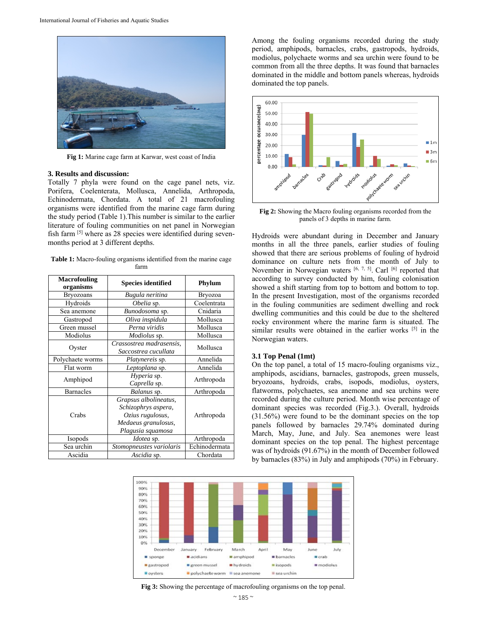

**Fig 1:** Marine cage farm at Karwar, west coast of India

### **3. Results and discussion:**

Totally 7 phyla were found on the cage panel nets, viz. Porifera, Coelenterata, Mollusca, Annelida, Arthropoda, Echinodermata, Chordata. A total of 21 macrofouling organisms were identified from the marine cage farm during the study period (Table 1).This number is similar to the earlier literature of fouling communities on net panel in Norwegian fish farm [5] where as 28 species were identified during sevenmonths period at 3 different depths.

**Table 1:** Macro-fouling organisms identified from the marine cage farm

| <b>Macrofouling</b><br>organisms | <b>Species identified</b>                                                                                    | Phylum        |
|----------------------------------|--------------------------------------------------------------------------------------------------------------|---------------|
| <b>Bryozoans</b>                 | Bugula neritina                                                                                              | Bryozoa       |
| Hydroids                         | Obelia sp.                                                                                                   | Coelentrata   |
| Sea anemone                      | Bunodosoma sp.                                                                                               | Cnidaria      |
| Gastropod                        | Oliva inspidula                                                                                              | Mollusca      |
| Green mussel                     | Perna viridis                                                                                                | Mollusca      |
| Modiolus                         | Modiolus sp.                                                                                                 | Mollusca      |
| Oyster                           | Crassostrea madrasensis,<br>Saccostrea cucullata                                                             | Mollusca      |
| Polychaete worms                 | <i>Platynereis</i> sp.                                                                                       | Annelida      |
| Flat worm                        | Leptoplana sp.                                                                                               | Annelida      |
| Amphipod                         | Hyperia sp.<br>Caprella sp.                                                                                  | Arthropoda    |
| <b>Barnacles</b>                 | Balanus sp.                                                                                                  | Arthropoda    |
| Crabs                            | Grapsus albolineatus,<br>Schizophrys aspera,<br>Ozius rugulosus,<br>Medaeus granulosus,<br>Plagusia squamosa | Arthropoda    |
| Isopods                          | Idotea sp.                                                                                                   | Arthropoda    |
| Sea urchin                       | Stomopneustes variolaris                                                                                     | Echinodermata |
| Ascidia                          | Ascidia sp.                                                                                                  | Chordata      |

Among the fouling organisms recorded during the study period, amphipods, barnacles, crabs, gastropods, hydroids, modiolus, polychaete worms and sea urchin were found to be common from all the three depths. It was found that barnacles dominated in the middle and bottom panels whereas, hydroids dominated the top panels.



**Fig 2:** Showing the Macro fouling organisms recorded from the panels of 3 depths in marine farm.

Hydroids were abundant during in December and January months in all the three panels, earlier studies of fouling showed that there are serious problems of fouling of hydroid dominance on culture nets from the month of July to November in Norwegian waters [6, 7, 5]. Carl [6] reported that according to survey conducted by him, fouling colonisation showed a shift starting from top to bottom and bottom to top. In the present Investigation, most of the organisms recorded in the fouling communities are sediment dwelling and rock dwelling communities and this could be due to the sheltered rocky environment where the marine farm is situated. The similar results were obtained in the earlier works [5] in the Norwegian waters.

#### **3.1 Top Penal (1mt)**

On the top panel, a total of 15 macro-fouling organisms viz., amphipods, ascidians, barnacles, gastropods, green mussels, bryozoans, hydroids, crabs, isopods, modiolus, oysters, flatworms, polychaetes, sea anemone and sea urchins were recorded during the culture period. Month wise percentage of dominant species was recorded (Fig.3.). Overall, hydroids (31.56%) were found to be the dominant species on the top panels followed by barnacles 29.74% dominated during March, May, June, and July. Sea anemones were least dominant species on the top penal. The highest percentage was of hydroids (91.67%) in the month of December followed by barnacles (83%) in July and amphipods (70%) in February.



**Fig 3:** Showing the percentage of macrofouling organisms on the top penal.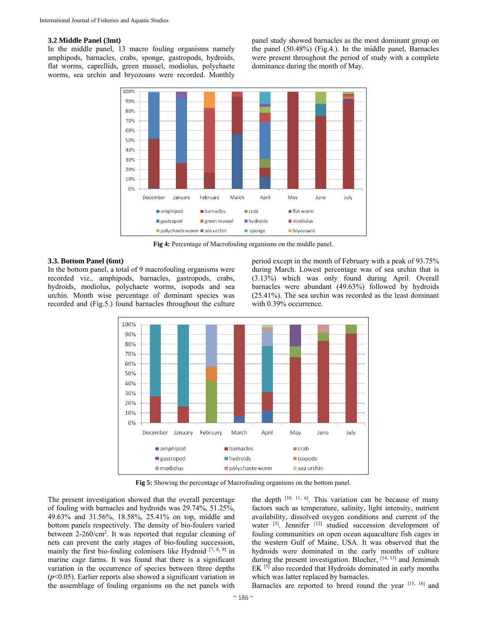## **3.2 Middle Panel (3mt)**

In the middle panel, 13 macro fouling organisms namely amphipods, barnacles, crabs, sponge, gastropods, hydroids, flat worms, caprellids, green mussel, modiolus, polychaete worms, sea urchin and bryozoans were recorded. Monthly panel study showed barnacles as the most dominant group on the panel (50.48%) (Fig.4.). In the middle panel, Barnacles were present throughout the period of study with a complete dominance during the month of May.



**Fig 4:** Percentage of Macrofouling organisms on the middle panel.

### **3.3. Bottom Panel (6mt)**

In the bottom panel, a total of 9 macrofouling organisms were recorded viz., amphipods, barnacles, gastropods, crabs, hydroids, modiolus, polychaete worms, isopods and sea urchin. Month wise percentage of dominant species was recorded and (Fig.5.) found barnacles throughout the culture period except in the month of February with a peak of 93.75% during March. Lowest percentage was of sea urchin that is (3.13%) which was only found during April. Overall barnacles were abundant (49.63%) followed by hydroids (25.41%). The sea urchin was recorded as the least dominant with 0.39% occurrence.



**Fig 5:** Showing the percentage of Macrofouling organisms on the bottom panel.

The present investigation showed that the overall percentage of fouling with barnacles and hydroids was 29.74%, 51.25%, 49.63% and 31.56%, 18.58%, 25.41% on top, middle and bottom panels respectively. The density of bio-foulers varied between 2-260/cm<sup>2</sup>. It was reported that regular cleaning of nets can prevent the early stages of bio-fouling succession, mainly the first bio-fouling colonisers like Hydroid  $[7, 8, 9]$  in marine cage farms. It was found that there is a significant variation in the occurrence of species between three depths (*p*<0.05). Earlier reports also showed a significant variation in the assemblage of fouling organisms on the net panels with

the depth  $[10, 11, 6]$ . This variation can be because of many factors such as temperature, salinity, light intensity, nutrient availability, dissolved oxygen conditions and current of the water [5]. Jennifer [12] studied succession development of fouling communities on open ocean aquaculture fish cages in the western Gulf of Maine, USA. It was observed that the hydroids were dominated in the early months of culture during the present investigation. Blocher, [14, 13] and Jemimah EK [5] also recorded that Hydroids dominated in early months which was latter replaced by barnacles.

Barnacles are reported to breed round the year [15, 16] and